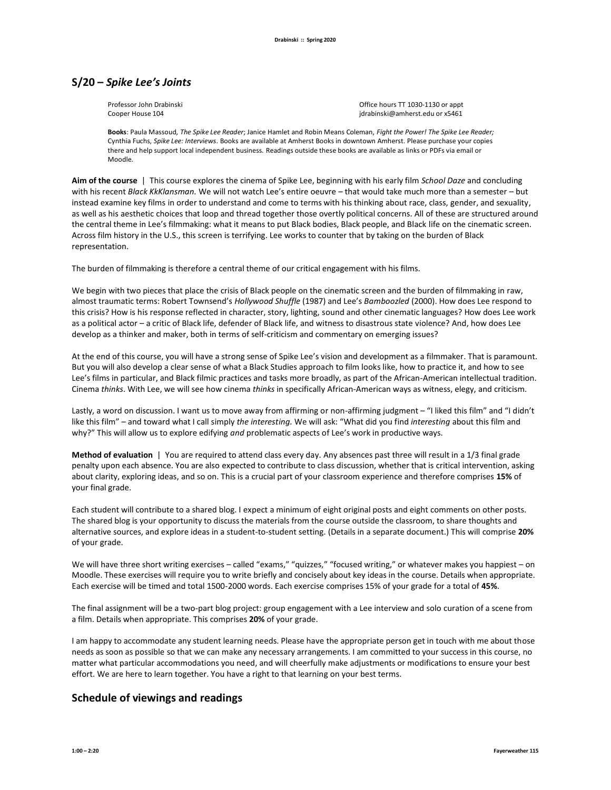## **S/20 –** *Spike Lee's Joints*

Professor John Drabinski **Drama Communisties of the Communisties** Office hours TT 1030-1130 or appt Cooper House 104 jdrabinski@amherst.edu or x5461

**Books**: Paula Massoud, *The Spike Lee Reader*; Janice Hamlet and Robin Means Coleman, *Fight the Power! The Spike Lee Reader;*  Cynthia Fuchs, *Spike Lee: Interviews*. Books are available at Amherst Books in downtown Amherst. Please purchase your copies there and help support local independent business. Readings outside these books are available as links or PDFs via email or Moodle.

**Aim of the course** | This course explores the cinema of Spike Lee, beginning with his early film *School Daze* and concluding with his recent *Black KkKlansman.* We will not watch Lee's entire oeuvre – that would take much more than a semester – but instead examine key films in order to understand and come to terms with his thinking about race, class, gender, and sexuality, as well as his aesthetic choices that loop and thread together those overtly political concerns. All of these are structured around the central theme in Lee's filmmaking: what it means to put Black bodies, Black people, and Black life on the cinematic screen. Across film history in the U.S., this screen is terrifying. Lee works to counter that by taking on the burden of Black representation.

The burden of filmmaking is therefore a central theme of our critical engagement with his films.

We begin with two pieces that place the crisis of Black people on the cinematic screen and the burden of filmmaking in raw, almost traumatic terms: Robert Townsend's *Hollywood Shuffle* (1987) and Lee's *Bamboozled* (2000). How does Lee respond to this crisis? How is his response reflected in character, story, lighting, sound and other cinematic languages? How does Lee work as a political actor – a critic of Black life, defender of Black life, and witness to disastrous state violence? And, how does Lee develop as a thinker and maker, both in terms of self-criticism and commentary on emerging issues?

At the end of this course, you will have a strong sense of Spike Lee's vision and development as a filmmaker. That is paramount. But you will also develop a clear sense of what a Black Studies approach to film looks like, how to practice it, and how to see Lee's films in particular, and Black filmic practices and tasks more broadly, as part of the African-American intellectual tradition. Cinema *thinks*. With Lee, we will see how cinema *thinks* in specifically African-American ways as witness, elegy, and criticism.

Lastly, a word on discussion. I want us to move away from affirming or non-affirming judgment – "I liked this film" and "I didn't like this film" – and toward what I call simply *the interesting.* We will ask: "What did you find *interesting* about this film and why?" This will allow us to explore edifying *and* problematic aspects of Lee's work in productive ways.

**Method of evaluation** | You are required to attend class every day. Any absences past three will result in a 1/3 final grade penalty upon each absence. You are also expected to contribute to class discussion, whether that is critical intervention, asking about clarity, exploring ideas, and so on. This is a crucial part of your classroom experience and therefore comprises **15%** of your final grade.

Each student will contribute to a shared blog. I expect a minimum of eight original posts and eight comments on other posts. The shared blog is your opportunity to discuss the materials from the course outside the classroom, to share thoughts and alternative sources, and explore ideas in a student-to-student setting. (Details in a separate document.) This will comprise **20%** of your grade.

We will have three short writing exercises – called "exams," "quizzes," "focused writing," or whatever makes you happiest – on Moodle. These exercises will require you to write briefly and concisely about key ideas in the course. Details when appropriate. Each exercise will be timed and total 1500-2000 words. Each exercise comprises 15% of your grade for a total of **45%**.

The final assignment will be a two-part blog project: group engagement with a Lee interview and solo curation of a scene from a film. Details when appropriate. This comprises **20%** of your grade.

I am happy to accommodate any student learning needs. Please have the appropriate person get in touch with me about those needs as soon as possible so that we can make any necessary arrangements. I am committed to your success in this course, no matter what particular accommodations you need, and will cheerfully make adjustments or modifications to ensure your best effort. We are here to learn together. You have a right to that learning on your best terms.

## **Schedule of viewings and readings**